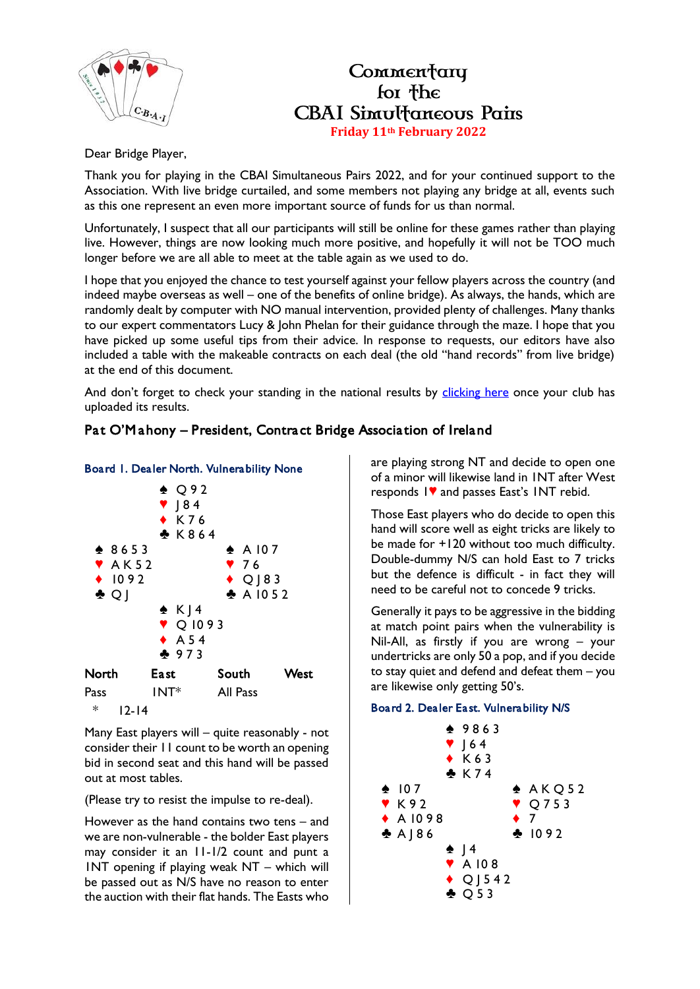

### Commentary for the **CBAI Simultaneous Pairs Friday 11th February 2022**

Dear Bridge Player,

Thank you for playing in the CBAI Simultaneous Pairs 2022, and for your continued support to the Association. With live bridge curtailed, and some members not playing any bridge at all, events such as this one represent an even more important source of funds for us than normal.

Unfortunately, I suspect that all our participants will still be online for these games rather than playing live. However, things are now looking much more positive, and hopefully it will not be TOO much longer before we are all able to meet at the table again as we used to do.

I hope that you enjoyed the chance to test yourself against your fellow players across the country (and indeed maybe overseas as well – one of the benefits of online bridge). As always, the hands, which are randomly dealt by computer with NO manual intervention, provided plenty of challenges. Many thanks to our expert commentators Lucy & John Phelan for their guidance through the maze. I hope that you have picked up some useful tips from their advice. In response to requests, our editors have also included a table with the makeable contracts on each deal (the old "hand records" from live bridge) at the end of this document.

And don't forget to check your standing in the national results by [clicking here](https://www.ecatsbridge.com/sims/results.asp?eventid=3342) once your club has uploaded its results.

#### Pat O'M ahony – President, Contract Bridge Association of Ireland



Many East players will – quite reasonably - not consider their 11 count to be worth an opening bid in second seat and this hand will be passed out at most tables.

(Please try to resist the impulse to re-deal).

However as the hand contains two tens – and we are non-vulnerable - the bolder East players may consider it an 11-1/2 count and punt a 1NT opening if playing weak NT – which will be passed out as N/S have no reason to enter the auction with their flat hands. The Easts who

are playing strong NT and decide to open one of a minor will likewise land in 1NT after West responds  $\mathsf{I}\blacktriangledown$  and passes East's INT rebid.

Those East players who do decide to open this hand will score well as eight tricks are likely to be made for +120 without too much difficulty. Double-dummy N/S can hold East to 7 tricks but the defence is difficult - in fact they will need to be careful not to concede 9 tricks.

Generally it pays to be aggressive in the bidding at match point pairs when the vulnerability is Nil-All, as firstly if you are wrong – your undertricks are only 50 a pop, and if you decide to stay quiet and defend and defeat them – you are likewise only getting 50's.

#### Board 2. Dealer East. Vulnerability N/S

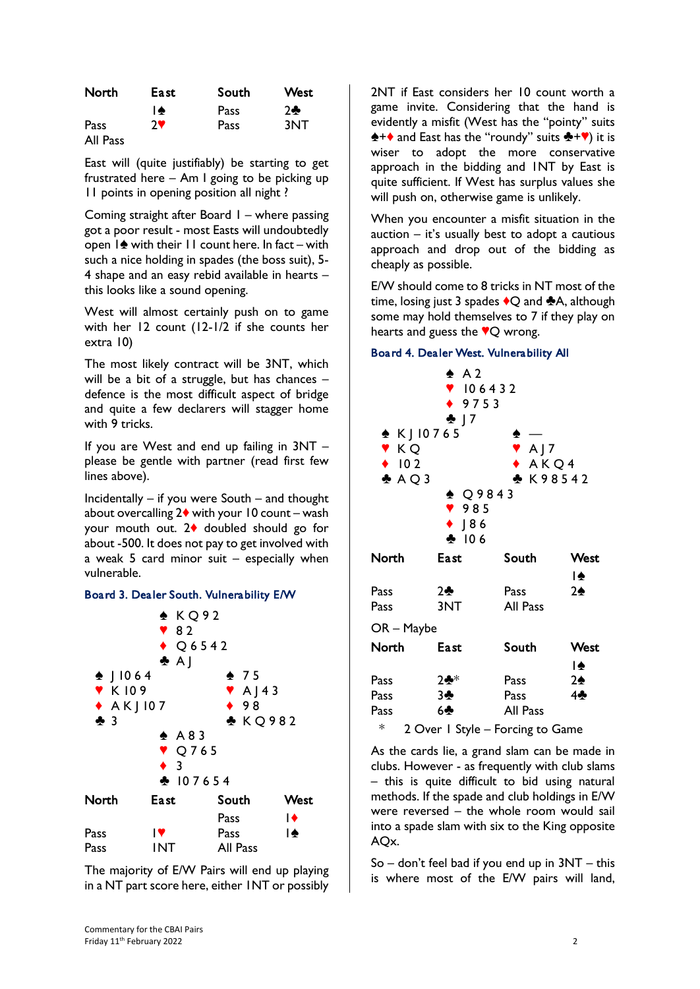| North    | East. | South | <b>West</b> |
|----------|-------|-------|-------------|
|          | I♠    | Pass  | $2 -$       |
| Pass     | ⊇₩    | Pass  | 3NT         |
| All Pass |       |       |             |

East will (quite justifiably) be starting to get frustrated here – Am I going to be picking up 11 points in opening position all night ?

Coming straight after Board 1 – where passing got a poor result - most Easts will undoubtedly open  $1\spadesuit$  with their  $11$  count here. In fact – with such a nice holding in spades (the boss suit), 5- 4 shape and an easy rebid available in hearts – this looks like a sound opening.

West will almost certainly push on to game with her 12 count (12-1/2 if she counts her extra 10)

The most likely contract will be 3NT, which will be a bit of a struggle, but has chances defence is the most difficult aspect of bridge and quite a few declarers will stagger home with 9 tricks.

If you are West and end up failing in 3NT – please be gentle with partner (read first few lines above).

Incidentally – if you were South – and thought about overcalling  $2\blacklozenge$  with your 10 count – wash your mouth out.  $2\blacklozenge$  doubled should go for about -500. It does not pay to get involved with a weak 5 card minor suit  $-$  especially when vulnerable.

#### Board 3. Dealer South. Vulnerability E/W



The majority of E/W Pairs will end up playing in a NT part score here, either 1NT or possibly 2NT if East considers her 10 count worth a game invite. Considering that the hand is evidently a misfit (West has the "pointy" suits  $\triangle$  +  $\triangle$  and East has the "roundy" suits  $\triangle$  +  $\triangledown$ ) it is wiser to adopt the more conservative approach in the bidding and 1NT by East is quite sufficient. If West has surplus values she will push on, otherwise game is unlikely.

When you encounter a misfit situation in the auction  $-$  it's usually best to adopt a cautious approach and drop out of the bidding as cheaply as possible.

E/W should come to 8 tricks in NT most of the time, losing just 3 spades  $\bigcirc$ Q and  $\bigcirc$ A, although some may hold themselves to 7 if they play on hearts and guess the  $\sqrt{\mathbf{Q}}$  wrong.

#### Board 4. Dealer West. Vulnerability All



As the cards lie, a grand slam can be made in clubs. However - as frequently with club slams – this is quite difficult to bid using natural methods. If the spade and club holdings in E/W were reversed – the whole room would sail into a spade slam with six to the King opposite AQx.

 $So$  – don't feel bad if you end up in  $3NT$  – this is where most of the E/W pairs will land,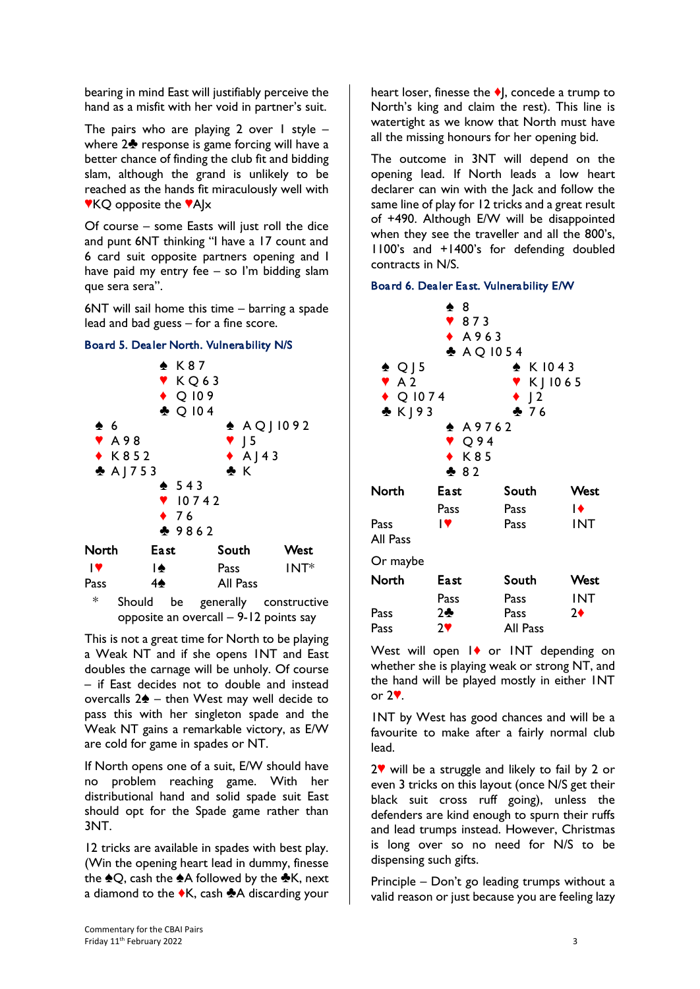bearing in mind East will justifiably perceive the hand as a misfit with her void in partner's suit.

The pairs who are playing 2 over 1 style  $$ where  $2\clubsuit$  response is game forcing will have a better chance of finding the club fit and bidding slam, although the grand is unlikely to be reached as the hands fit miraculously well with  $\mathbf{V}$ KQ opposite the  $\mathbf{V}$ AJx

Of course – some Easts will just roll the dice and punt 6NT thinking "I have a 17 count and 6 card suit opposite partners opening and I have paid my entry fee – so I'm bidding slam que sera sera".

6NT will sail home this time – barring a spade lead and bad guess – for a fine score.



Board 5. Dealer North. Vulnerability N/S

opposite an overcall – 9-12 points say

This is not a great time for North to be playing a Weak NT and if she opens 1NT and East doubles the carnage will be unholy. Of course – if East decides not to double and instead overcalls  $2\spadesuit$  – then West may well decide to pass this with her singleton spade and the Weak NT gains a remarkable victory, as E/W are cold for game in spades or NT.

If North opens one of a suit, E/W should have no problem reaching game. With her distributional hand and solid spade suit East should opt for the Spade game rather than 3NT.

12 tricks are available in spades with best play. (Win the opening heart lead in dummy, finesse the  $\triangle Q$ , cash the  $\triangle A$  followed by the  $\triangle K$ , next a diamond to the  $\bullet$ K, cash  $\bullet$ A discarding your

heart loser, finesse the  $\blacklozenge$ , concede a trump to North's king and claim the rest). This line is watertight as we know that North must have all the missing honours for her opening bid.

The outcome in 3NT will depend on the opening lead. If North leads a low heart declarer can win with the Jack and follow the same line of play for 12 tricks and a great result of +490. Although E/W will be disappointed when they see the traveller and all the 800's, 1100's and +1400's for defending doubled contracts in N/S.

#### Board 6. Dealer East. Vulnerability E/W

| $\spadesuit$ Q J 5<br>A <sub>2</sub><br>$\blacklozenge$ Q 1074<br>$\triangle$ K   93 | $\clubsuit$ 8<br>$\sqrt{873}$<br>$\bullet$ A963<br>$A$ Q 1054<br>$\spadesuit$ <code>A9762</code><br>$\triangledown$ Q 94<br>$\bullet$ K85<br>282 | $\triangle$ K 1043<br>$V$ K   1065<br>$\bullet$ J2<br>26 |                          |
|--------------------------------------------------------------------------------------|--------------------------------------------------------------------------------------------------------------------------------------------------|----------------------------------------------------------|--------------------------|
| North                                                                                | East                                                                                                                                             | South                                                    | West                     |
|                                                                                      | Pass                                                                                                                                             | Pass                                                     | $\blacktriangleright$    |
| Pass<br>All Pass                                                                     | $\mathbf{P}$                                                                                                                                     | Pass                                                     | <b>INT</b>               |
| Or maybe                                                                             |                                                                                                                                                  |                                                          |                          |
| North                                                                                | <b>East</b>                                                                                                                                      | South                                                    | West                     |
| Pass<br>Pass                                                                         | Pass<br>2<br>27                                                                                                                                  | Pass<br>Pass<br>All Pass                                 | <b>INT</b><br>$2\bullet$ |

West will open  $\mathsf{I}\blacklozenge$  or INT depending on whether she is playing weak or strong NT, and the hand will be played mostly in either 1NT or  $2$  $\mathbf{\sqrt{}}$ .

1NT by West has good chances and will be a favourite to make after a fairly normal club lead.

 $2^{\circ}$  will be a struggle and likely to fail by 2 or even 3 tricks on this layout (once N/S get their black suit cross ruff going), unless the defenders are kind enough to spurn their ruffs and lead trumps instead. However, Christmas is long over so no need for N/S to be dispensing such gifts.

Principle – Don't go leading trumps without a valid reason or just because you are feeling lazy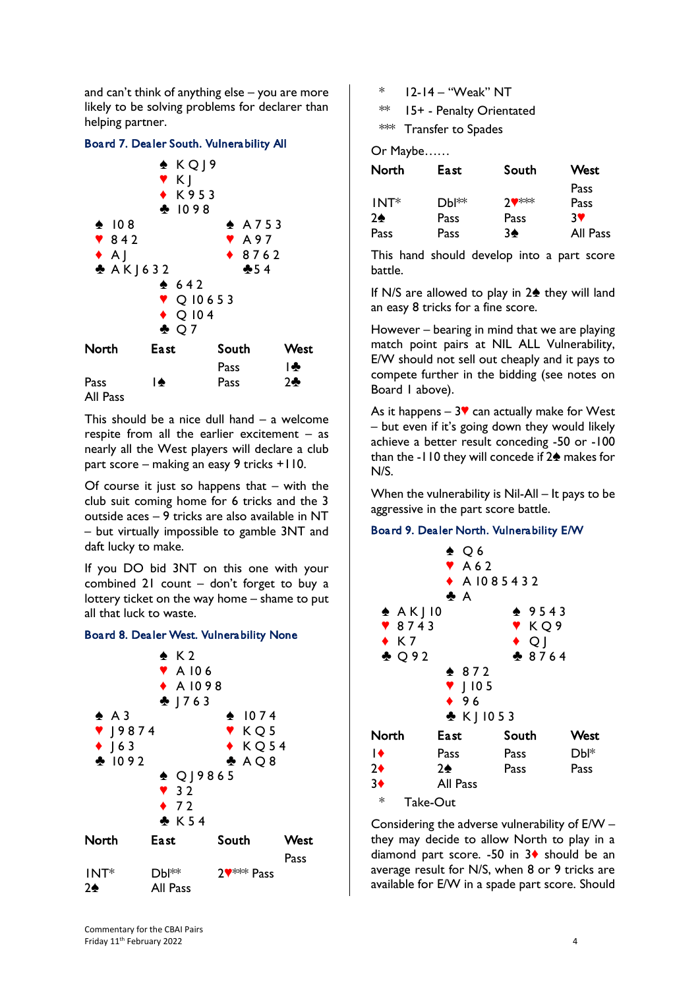and can't think of anything else – you are more likely to be solving problems for declarer than helping partner.

#### Board 7. Dealer South. Vulnerability All



This should be a nice dull hand  $-$  a welcome respite from all the earlier excitement – as nearly all the West players will declare a club part score – making an easy 9 tricks +110.

Of course it just so happens that  $-$  with the club suit coming home for 6 tricks and the 3 outside aces – 9 tricks are also available in NT – but virtually impossible to gamble 3NT and daft lucky to make.

If you DO bid 3NT on this one with your combined 21 count – don't forget to buy a lottery ticket on the way home – shame to put all that luck to waste.

#### Board 8. Dealer West. Vulnerability None



\* 12-14 – "Weak" NT

\*\* 15+ - Penalty Orientated

\*\*\* Transfer to Spades

Or Maybe……

| North  | East.             | South     | West     |
|--------|-------------------|-----------|----------|
|        |                   |           | Pass     |
| $INT*$ | Dbl <sup>**</sup> | $7$ $***$ | Pass     |
| 2♠     | Pass              | Pass      | 3V       |
| Pass   | Pass              | 3♠        | All Pass |

This hand should develop into a part score battle.

If N/S are allowed to play in  $2\spadesuit$  they will land an easy 8 tricks for a fine score.

However – bearing in mind that we are playing match point pairs at NIL ALL Vulnerability, E/W should not sell out cheaply and it pays to compete further in the bidding (see notes on Board 1 above).

As it happens  $-3$  can actually make for West – but even if it's going down they would likely achieve a better result conceding -50 or -100 than the -110 they will concede if  $2\spadesuit$  makes for N/S.

When the vulnerability is Nil-All – It pays to be aggressive in the part score battle.

#### Board 9. Dealer North. Vulnerability E/W

| $\triangle$ AK   10<br>$\sqrt{8743}$<br>$\bullet$ K7<br>$\triangle$ 092 | $\triangle$ Q 6<br>A62<br>♣ A                                | $\triangle$ A 1085432<br>$* 9543$<br>Y KQ9<br>$\bullet$ Q<br>$-8764$ |      |
|-------------------------------------------------------------------------|--------------------------------------------------------------|----------------------------------------------------------------------|------|
|                                                                         | $* 872$<br>$\blacktriangledown$   105<br>496<br>$& K$ ] 1053 |                                                                      |      |
| North                                                                   | <b>East</b>                                                  | South                                                                | West |
| $\overline{1}$                                                          | Pass                                                         | Pass                                                                 | Dbl* |
| $2\bullet$                                                              | 2♠                                                           | Pass                                                                 | Pass |
| $3+$                                                                    | All Pass                                                     |                                                                      |      |

\* Take-Out

Considering the adverse vulnerability of E/W – they may decide to allow North to play in a diamond part score. -50 in  $3\blacklozenge$  should be an average result for N/S, when 8 or 9 tricks are available for E/W in a spade part score. Should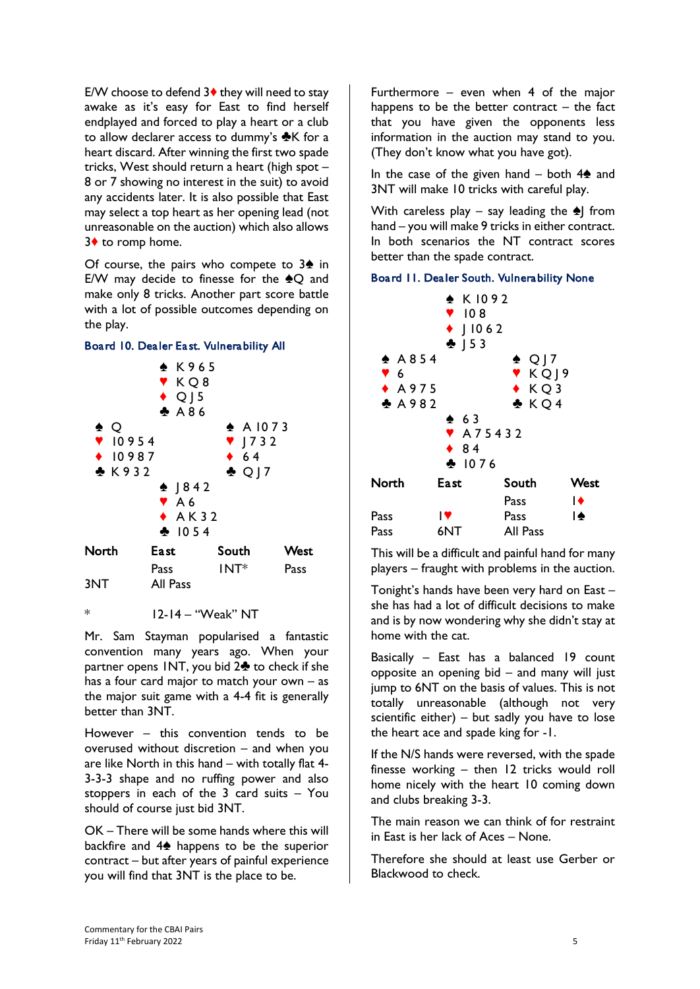E/W choose to defend  $3\blacklozenge$  they will need to stay awake as it's easy for East to find herself endplayed and forced to play a heart or a club to allow declarer access to dummy's  $K$  for a heart discard. After winning the first two spade tricks, West should return a heart (high spot – 8 or 7 showing no interest in the suit) to avoid any accidents later. It is also possible that East may select a top heart as her opening lead (not unreasonable on the auction) which also allows 3♦ to romp home.

Of course, the pairs who compete to  $3\spadesuit$  in E/W may decide to finesse for the  $\triangle Q$  and make only 8 tricks. Another part score battle with a lot of possible outcomes depending on the play.



 $12-14 - "Weak" NT$ 

Mr. Sam Stayman popularised a fantastic convention many years ago. When your partner opens  $INT$ , you bid  $2\clubsuit$  to check if she has a four card major to match your own  $-$  as the major suit game with a 4-4 fit is generally better than 3NT.

However – this convention tends to be overused without discretion – and when you are like North in this hand – with totally flat 4- 3-3-3 shape and no ruffing power and also stoppers in each of the 3 card suits – You should of course just bid 3NT.

OK – There will be some hands where this will backfire and  $4\spadesuit$  happens to be the superior contract – but after years of painful experience you will find that 3NT is the place to be.

Furthermore – even when 4 of the major happens to be the better contract  $-$  the fact that you have given the opponents less information in the auction may stand to you. (They don't know what you have got).

In the case of the given hand – both  $4\spadesuit$  and 3NT will make 10 tricks with careful play.

With careless play – say leading the  $\triangle$  from hand – you will make 9 tricks in either contract. In both scenarios the NT contract scores better than the spade contract.

#### Board 11. Dealer South. Vulnerability None



This will be a difficult and painful hand for many players – fraught with problems in the auction.

Tonight's hands have been very hard on East – she has had a lot of difficult decisions to make and is by now wondering why she didn't stay at home with the cat.

Basically – East has a balanced 19 count opposite an opening bid – and many will just jump to 6NT on the basis of values. This is not totally unreasonable (although not very scientific either)  $-$  but sadly you have to lose the heart ace and spade king for -1.

If the N/S hands were reversed, with the spade finesse working – then 12 tricks would roll home nicely with the heart 10 coming down and clubs breaking 3-3.

The main reason we can think of for restraint in East is her lack of Aces – None.

Therefore she should at least use Gerber or Blackwood to check.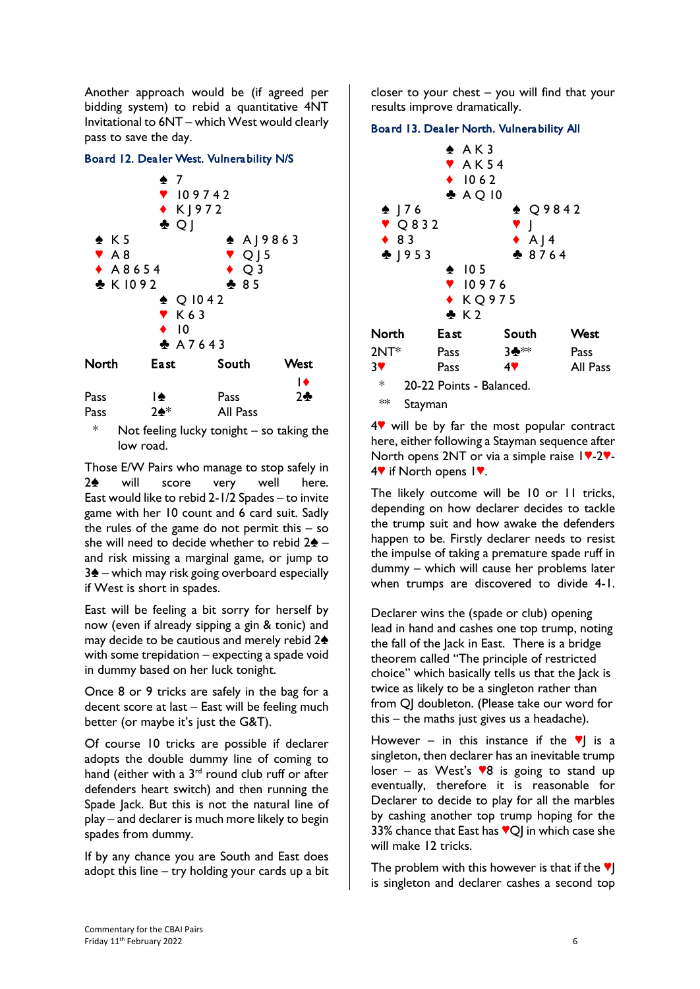Another approach would be (if agreed per bidding system) to rebid a quantitative 4NT Invitational to 6NT – which West would clearly pass to save the day.

#### Board 12. Dealer West. Vulnerability N/S



\* Not feeling lucky tonight – so taking the low road.

Those E/W Pairs who manage to stop safely in  $2\spadesuit$  will score very well here. East would like to rebid 2-1/2 Spades – to invite game with her 10 count and 6 card suit. Sadly the rules of the game do not permit this  $-$  so she will need to decide whether to rebid  $2\spadesuit$  – and risk missing a marginal game, or jump to  $3\spadesuit$  – which may risk going overboard especially if West is short in spades.

East will be feeling a bit sorry for herself by now (even if already sipping a gin & tonic) and may decide to be cautious and merely rebid  $2\spadesuit$ with some trepidation – expecting a spade void in dummy based on her luck tonight.

Once 8 or 9 tricks are safely in the bag for a decent score at last – East will be feeling much better (or maybe it's just the G&T).

Of course 10 tricks are possible if declarer adopts the double dummy line of coming to hand (either with a  $3<sup>rd</sup>$  round club ruff or after defenders heart switch) and then running the Spade Jack. But this is not the natural line of play – and declarer is much more likely to begin spades from dummy.

If by any chance you are South and East does adopt this line – try holding your cards up a bit closer to your chest – you will find that your results improve dramatically.

#### Board 13. Dealer North. Vulnerability All



 $4$  will be by far the most popular contract here, either following a Stayman sequence after North opens 2NT or via a simple raise  $19-29$ - $4$  if North opens  $1$ .

The likely outcome will be 10 or 11 tricks, depending on how declarer decides to tackle the trump suit and how awake the defenders happen to be. Firstly declarer needs to resist the impulse of taking a premature spade ruff in dummy – which will cause her problems later when trumps are discovered to divide 4-1.

Declarer wins the (spade or club) opening lead in hand and cashes one top trump, noting the fall of the Jack in East. There is a bridge theorem called "The principle of restricted choice" which basically tells us that the Jack is twice as likely to be a singleton rather than from QJ doubleton. (Please take our word for this – the maths just gives us a headache).

However – in this instance if the  $\mathbf{v}$  is a singleton, then declarer has an inevitable trump loser – as West's  $\sqrt{8}$  is going to stand up eventually, therefore it is reasonable for Declarer to decide to play for all the marbles by cashing another top trump hoping for the 33% chance that East has  $\sqrt{\mathbb{Q}}$  in which case she will make 12 tricks.

The problem with this however is that if the  $\Psi$ is singleton and declarer cashes a second top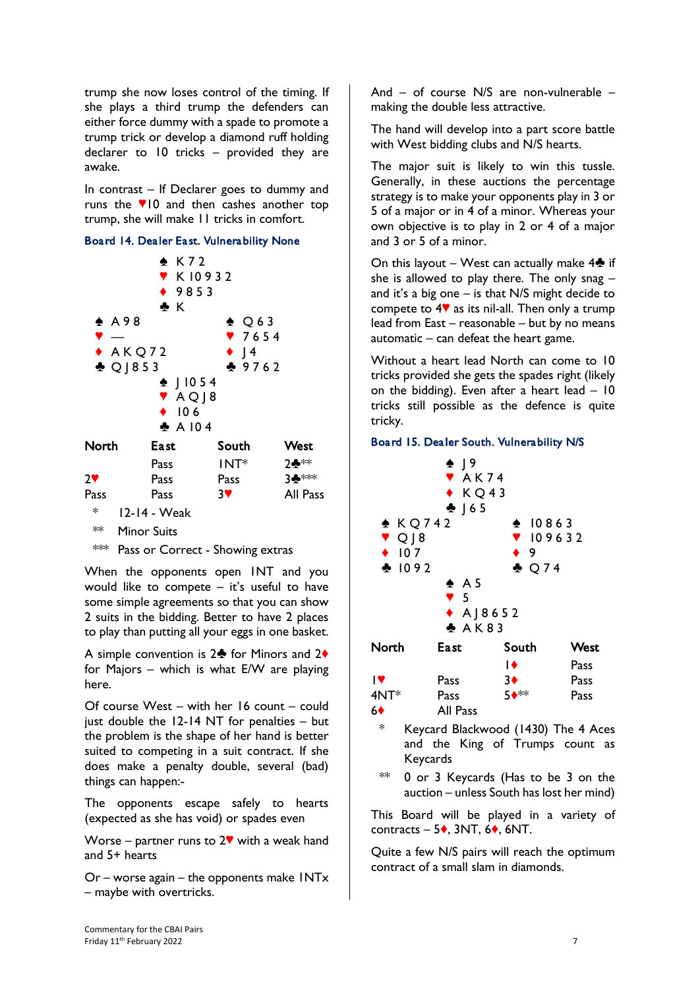trump she now loses control of the timing. If she plays a third trump the defenders can either force dummy with a spade to promote a trump trick or develop a diamond ruff holding declarer to 10 tricks – provided they are awake.

In contrast – If Declarer goes to dummy and runs the  $\sqrt{10}$  and then cashes another top trump, she will make 11 tricks in comfort.

#### Board 14. Dealer East. Vulnerability None

|        | $\clubsuit$ K<br>$\triangle$ A98<br>$*$ AKQ72<br>$\triangle$ Q   853<br>$\bullet$ 106 | $\triangle$ K72<br><b>VK10932</b><br>◆ 9853<br>$\div$   1054<br>$'$ AQ $ 8$<br>A104 | $\triangle$ Q 63<br>7654<br>$\bullet$   4<br>29762 |          |
|--------|---------------------------------------------------------------------------------------|-------------------------------------------------------------------------------------|----------------------------------------------------|----------|
| North  | East                                                                                  |                                                                                     | South                                              | West     |
|        | Pass                                                                                  |                                                                                     | $INT*$                                             | 2**      |
| 2♥     | Pass                                                                                  |                                                                                     | Pass                                               | 3♣***    |
| Pass   | Pass                                                                                  |                                                                                     | 37                                                 | All Pass |
| $\ast$ | 12-14 - Weak                                                                          |                                                                                     |                                                    |          |
| ∗∗     | Minor Suits                                                                           |                                                                                     |                                                    |          |

\*\*\* Pass or Correct - Showing extras

When the opponents open 1NT and you would like to compete  $-$  it's useful to have some simple agreements so that you can show 2 suits in the bidding. Better to have 2 places to play than putting all your eggs in one basket.

A simple convention is  $2\clubsuit$  for Minors and  $2\spadesuit$ for Majors – which is what E/W are playing here.

Of course West – with her 16 count – could just double the 12-14 NT for penalties – but the problem is the shape of her hand is better suited to competing in a suit contract. If she does make a penalty double, several (bad) things can happen:-

The opponents escape safely to hearts (expected as she has void) or spades even

Worse – partner runs to  $2\mathbf{V}$  with a weak hand and 5+ hearts

Or – worse again – the opponents make 1NTx – maybe with overtricks.

And – of course N/S are non-vulnerable – making the double less attractive.

The hand will develop into a part score battle with West bidding clubs and N/S hearts.

The major suit is likely to win this tussle. Generally, in these auctions the percentage strategy is to make your opponents play in 3 or 5 of a major or in 4 of a minor. Whereas your own objective is to play in 2 or 4 of a major and 3 or 5 of a minor.

On this layout – West can actually make  $4\clubsuit$  if she is allowed to play there. The only snag  $$ and it's a big one  $-$  is that N/S might decide to compete to  $4\blacktriangledown$  as its nil-all. Then only a trump lead from East – reasonable – but by no means automatic  $-$  can defeat the heart game.

Without a heart lead North can come to 10 tricks provided she gets the spades right (likely on the bidding). Even after a heart lead  $-10$ tricks still possible as the defence is quite tricky.

#### Board 15. Dealer South. Vulnerability N/S



\*\* 0 or 3 Keycards (Has to be 3 on the auction – unless South has lost her mind)

This Board will be played in a variety of contracts –  $5\bullet$ , 3NT, 6 $\bullet$ , 6NT.

Quite a few N/S pairs will reach the optimum contract of a small slam in diamonds.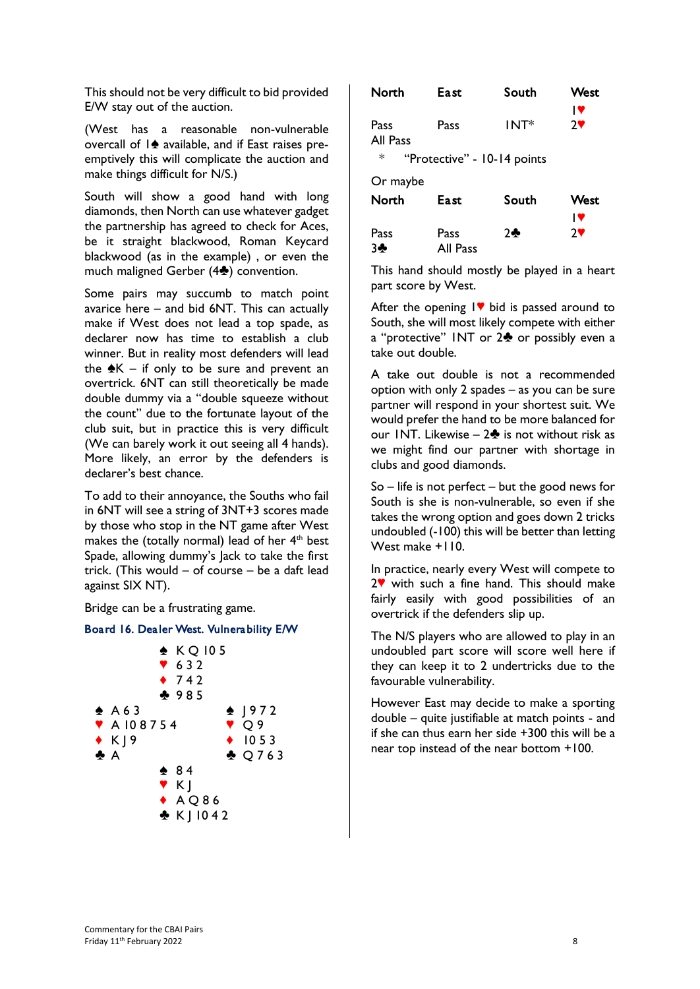This should not be very difficult to bid provided E/W stay out of the auction.

(West has a reasonable non-vulnerable overcall of  $\ket{\triangle}$  available, and if East raises preemptively this will complicate the auction and make things difficult for N/S.)

South will show a good hand with long diamonds, then North can use whatever gadget the partnership has agreed to check for Aces, be it straight blackwood, Roman Keycard blackwood (as in the example) , or even the much maligned Gerber  $(4\clubsuit)$  convention.

Some pairs may succumb to match point avarice here – and bid 6NT. This can actually make if West does not lead a top spade, as declarer now has time to establish a club winner. But in reality most defenders will lead the  $\triangle K$  – if only to be sure and prevent an overtrick. 6NT can still theoretically be made double dummy via a "double squeeze without the count" due to the fortunate layout of the club suit, but in practice this is very difficult (We can barely work it out seeing all 4 hands). More likely, an error by the defenders is declarer's best chance.

To add to their annoyance, the Souths who fail in 6NT will see a string of 3NT+3 scores made by those who stop in the NT game after West makes the (totally normal) lead of her  $4<sup>th</sup>$  best Spade, allowing dummy's Jack to take the first trick. (This would – of course – be a daft lead against SIX NT).

Bridge can be a frustrating game.

#### Board 16. Dealer West. Vulnerability E/W



| North            | East | South                       | <b>West</b><br>I۷ |
|------------------|------|-----------------------------|-------------------|
| Pass<br>All Pass | Pass | $INT*$                      | 2                 |
| ∗                |      | "Protective" - 10-14 points |                   |
| Or maybe         |      |                             |                   |
| North            | East | South                       | West              |
|                  |      |                             | I۷                |
| Pass             | Pass | 74                          | 7V                |

This hand should mostly be played in a heart part score by West.

3<sup>2</sup> All Pass

After the opening  $1$  bid is passed around to South, she will most likely compete with either a "protective"  $INT$  or  $2\clubsuit$  or possibly even a take out double.

A take out double is not a recommended option with only 2 spades – as you can be sure partner will respond in your shortest suit. We would prefer the hand to be more balanced for our INT. Likewise –  $2\clubsuit$  is not without risk as we might find our partner with shortage in clubs and good diamonds.

 $So$  – life is not perfect – but the good news for South is she is non-vulnerable, so even if she takes the wrong option and goes down 2 tricks undoubled (-100) this will be better than letting West make +110.

In practice, nearly every West will compete to  $2$  with such a fine hand. This should make fairly easily with good possibilities of an overtrick if the defenders slip up.

The N/S players who are allowed to play in an undoubled part score will score well here if they can keep it to 2 undertricks due to the favourable vulnerability.

However East may decide to make a sporting double – quite justifiable at match points - and if she can thus earn her side +300 this will be a near top instead of the near bottom +100.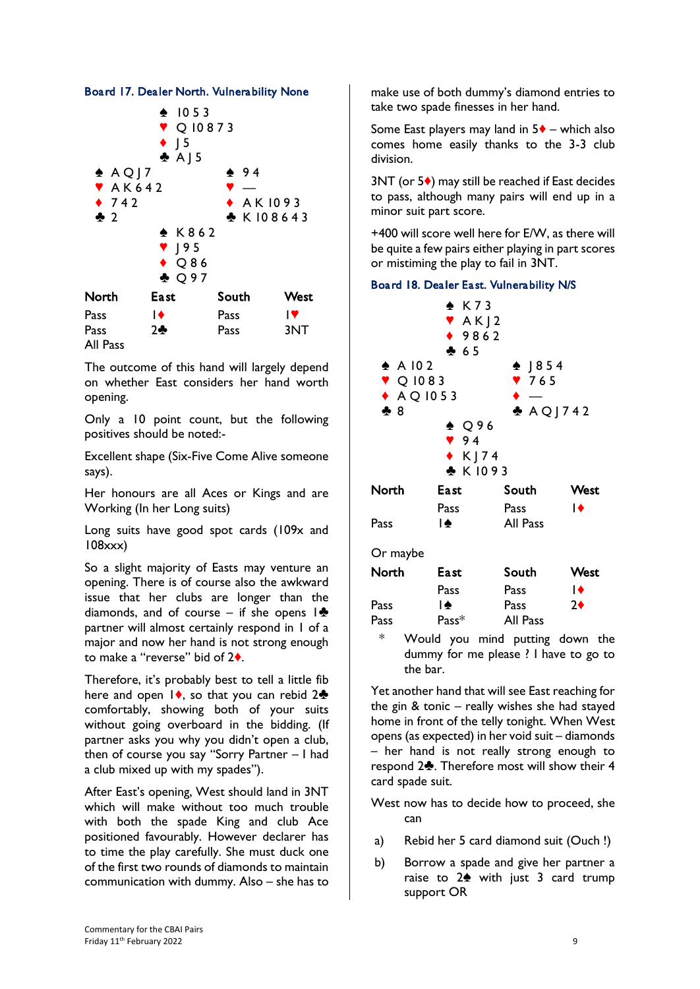#### Board 17. Dealer North. Vulnerability None



The outcome of this hand will largely depend on whether East considers her hand worth opening.

Pass 2<del>2</del> Pass 3NT

All Pass

Only a 10 point count, but the following positives should be noted:-

Excellent shape (Six-Five Come Alive someone says).

Her honours are all Aces or Kings and are Working (In her Long suits)

Long suits have good spot cards (109x and 108xxx)

So a slight majority of Easts may venture an opening. There is of course also the awkward issue that her clubs are longer than the diamonds, and of course – if she opens  $1\clubsuit$ partner will almost certainly respond in 1 of a major and now her hand is not strong enough to make a "reverse" bid of 2<sup>\*</sup>.

Therefore, it's probably best to tell a little fib here and open  $\vert \bullet \rangle$ , so that you can rebid 2 $\bullet$ comfortably, showing both of your suits without going overboard in the bidding. (If partner asks you why you didn't open a club, then of course you say "Sorry Partner – I had a club mixed up with my spades").

After East's opening, West should land in 3NT which will make without too much trouble with both the spade King and club Ace positioned favourably. However declarer has to time the play carefully. She must duck one of the first two rounds of diamonds to maintain communication with dummy. Also – she has to make use of both dummy's diamond entries to take two spade finesses in her hand.

Some East players may land in  $5\blacklozenge$  – which also comes home easily thanks to the 3-3 club division.

 $3NT$  (or  $5\bullet$ ) may still be reached if East decides to pass, although many pairs will end up in a minor suit part score.

+400 will score well here for E/W, as there will be quite a few pairs either playing in part scores or mistiming the play to fail in 3NT.

#### Board 18. Dealer East. Vulnerability N/S

|                             | $\triangle$ K73<br>XAX12<br>◆ 9862<br>465 |            |      |
|-----------------------------|-------------------------------------------|------------|------|
| $\triangle$ A 102           |                                           | $-1854$    |      |
| $\blacktriangledown$ Q 1083 |                                           | 9765       |      |
| $\triangle$ AQ 1053         |                                           |            |      |
| 28                          |                                           | $AQ$ ] 742 |      |
|                             | $\triangle$ Q96                           |            |      |
|                             | 94                                        |            |      |
|                             | $\star$ K   74                            |            |      |
|                             | ♣ K1093                                   |            |      |
| North                       | East                                      | South      | West |
|                             | Pass                                      | Pass       | ≀∙   |
| Pass                        | $\blacktriangle$                          | All Pass   |      |
| Or maybe                    |                                           |            |      |
| North                       | East                                      | South      | West |
|                             | Pass                                      | Pass       | I♦   |
| Pass                        | I♠                                        | Pass       | 2♦   |

\* Would you mind putting down the dummy for me please ? I have to go to the bar.

Pass Pass<sup>\*</sup> All Pass

Yet another hand that will see East reaching for the gin & tonic – really wishes she had stayed home in front of the telly tonight. When West opens (as expected) in her void suit – diamonds – her hand is not really strong enough to respond 2<sup>2</sup>. Therefore most will show their 4 card spade suit.

- West now has to decide how to proceed, she can
- a) Rebid her 5 card diamond suit (Ouch !)
- b) Borrow a spade and give her partner a raise to  $2\spadesuit$  with just 3 card trump support OR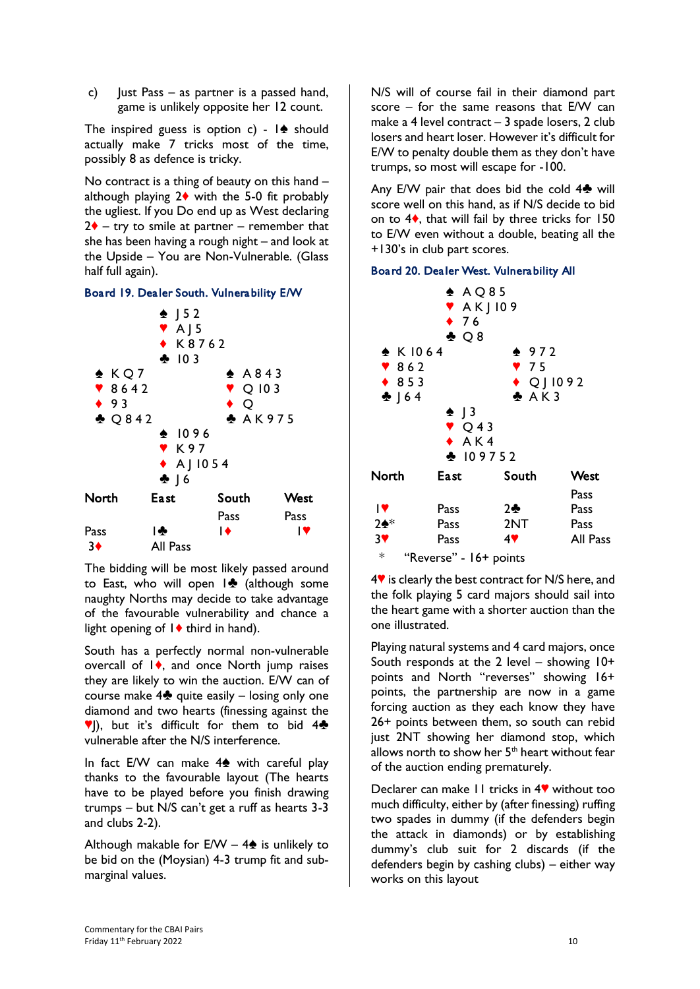c)  $\blacksquare$  lust Pass – as partner is a passed hand, game is unlikely opposite her 12 count.

The inspired guess is option c) -  $\mathbf{A}$  should actually make 7 tricks most of the time, possibly 8 as defence is tricky.

No contract is a thing of beauty on this hand – although playing  $2\blacklozenge$  with the 5-0 fit probably the ugliest. If you Do end up as West declaring  $2\blacklozenge$  – try to smile at partner – remember that she has been having a rough night – and look at the Upside – You are Non-Vulnerable. (Glass half full again).

#### Board 19. Dealer South. Vulnerability E/W



The bidding will be most likely passed around to East, who will open  $\mathbf{R}$  (although some naughty Norths may decide to take advantage of the favourable vulnerability and chance a light opening of  $1\blacklozenge$  third in hand).

South has a perfectly normal non-vulnerable overcall of  $\mathsf{I}\blacklozenge$ , and once North jump raises they are likely to win the auction. E/W can of course make  $4\clubsuit$  quite easily – losing only one diamond and two hearts (finessing against the  $\P$ ), but it's difficult for them to bid 4 $\clubsuit$ vulnerable after the N/S interference.

In fact E/W can make  $4\spadesuit$  with careful play thanks to the favourable layout (The hearts have to be played before you finish drawing trumps – but N/S can't get a ruff as hearts 3-3 and clubs 2-2).

Although makable for  $E/W - 4\spadesuit$  is unlikely to be bid on the (Moysian) 4-3 trump fit and submarginal values.

N/S will of course fail in their diamond part score – for the same reasons that E/W can make a 4 level contract – 3 spade losers, 2 club losers and heart loser. However it's difficult for E/W to penalty double them as they don't have trumps, so most will escape for -100.

Any E/W pair that does bid the cold  $4\clubsuit$  will score well on this hand, as if N/S decide to bid on to  $4\bullet$ , that will fail by three tricks for 150 to E/W even without a double, beating all the +130's in club part scores.

#### Board 20. Dealer West. Vulnerability All



 $4$ <sup> $\blacktriangledown$ </sup> is clearly the best contract for N/S here, and the folk playing 5 card majors should sail into the heart game with a shorter auction than the one illustrated.

Playing natural systems and 4 card majors, once South responds at the 2 level – showing  $10+$ points and North "reverses" showing 16+ points, the partnership are now in a game forcing auction as they each know they have 26+ points between them, so south can rebid just 2NT showing her diamond stop, which allows north to show her  $5<sup>th</sup>$  heart without fear of the auction ending prematurely.

Declarer can make 11 tricks in 4<sup> $\bullet$ </sup> without too much difficulty, either by (after finessing) ruffing two spades in dummy (if the defenders begin the attack in diamonds) or by establishing dummy's club suit for 2 discards (if the defenders begin by cashing clubs) – either way works on this layout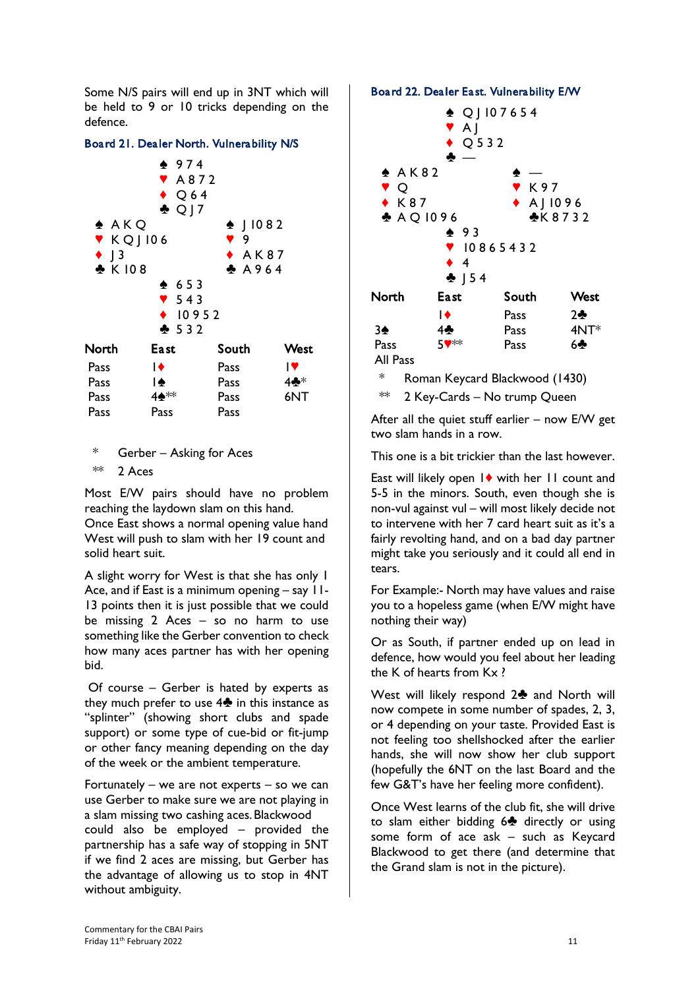Some N/S pairs will end up in 3NT which will be held to 9 or 10 tricks depending on the defence.

#### Board 21. Dealer North. Vulnerability N/S



\* Gerber – Asking for Aces

Pass Pass Pass

 $**$  2 Aces

Most E/W pairs should have no problem reaching the laydown slam on this hand.

Once East shows a normal opening value hand West will push to slam with her 19 count and solid heart suit.

A slight worry for West is that she has only 1 Ace, and if East is a minimum opening – say 11- 13 points then it is just possible that we could be missing 2 Aces – so no harm to use something like the Gerber convention to check how many aces partner has with her opening bid.

Of course – Gerber is hated by experts as they much prefer to use  $4\clubsuit$  in this instance as "splinter" (showing short clubs and spade support) or some type of cue-bid or fit-jump or other fancy meaning depending on the day of the week or the ambient temperature.

Fortunately – we are not experts – so we can use Gerber to make sure we are not playing in a slam missing two cashing aces.Blackwood could also be employed – provided the partnership has a safe way of stopping in 5NT if we find 2 aces are missing, but Gerber has the advantage of allowing us to stop in 4NT without ambiguity.

#### Board 22. Dealer East. Vulnerability E/W



After all the quiet stuff earlier – now E/W get two slam hands in a row.

This one is a bit trickier than the last however.

East will likely open  $1\blacklozenge$  with her 11 count and 5-5 in the minors. South, even though she is non-vul against vul – will most likely decide not to intervene with her 7 card heart suit as it's a fairly revolting hand, and on a bad day partner might take you seriously and it could all end in tears.

For Example:- North may have values and raise you to a hopeless game (when E/W might have nothing their way)

Or as South, if partner ended up on lead in defence, how would you feel about her leading the K of hearts from Kx ?

West will likely respond  $2\clubsuit$  and North will now compete in some number of spades, 2, 3, or 4 depending on your taste. Provided East is not feeling too shellshocked after the earlier hands, she will now show her club support (hopefully the 6NT on the last Board and the few G&T's have her feeling more confident).

Once West learns of the club fit, she will drive to slam either bidding  $6\clubsuit$  directly or using some form of ace ask – such as Keycard Blackwood to get there (and determine that the Grand slam is not in the picture).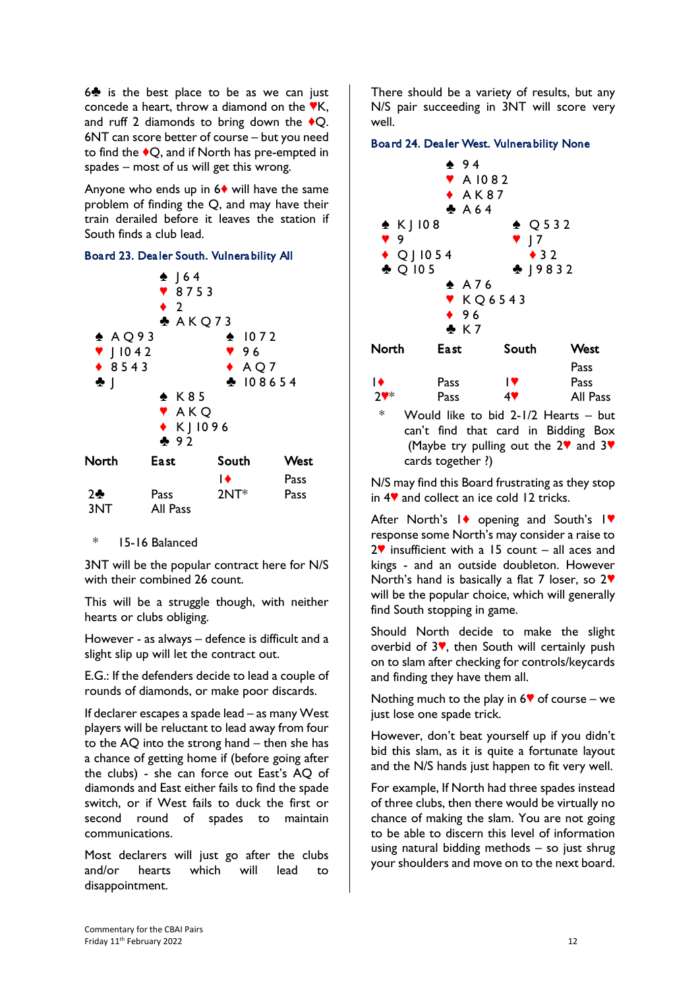$6$  is the best place to be as we can just concede a heart, throw a diamond on the  $\nabla K$ , and ruff 2 diamonds to bring down the  $\triangle$ O. 6NT can score better of course – but you need to find the  $\blacklozenge Q$ , and if North has pre-empted in spades – most of us will get this wrong.

Anyone who ends up in  $6\diamond$  will have the same problem of finding the Q, and may have their train derailed before it leaves the station if South finds a club lead.

#### Board 23. Dealer South. Vulnerability All



\* 15-16 Balanced

3NT will be the popular contract here for N/S with their combined 26 count.

This will be a struggle though, with neither hearts or clubs obliging.

However - as always – defence is difficult and a slight slip up will let the contract out.

E.G.: If the defenders decide to lead a couple of rounds of diamonds, or make poor discards.

If declarer escapes a spade lead – as many West players will be reluctant to lead away from four to the AQ into the strong hand – then she has a chance of getting home if (before going after the clubs) - she can force out East's AQ of diamonds and East either fails to find the spade switch, or if West fails to duck the first or second round of spades to maintain communications.

Most declarers will just go after the clubs and/or hearts which will lead to disappointment.

There should be a variety of results, but any N/S pair succeeding in 3NT will score very well.

#### Board 24. Dealer West. Vulnerability None



\* Would like to bid 2-1/2 Hearts – but can't find that card in Bidding Box (Maybe try pulling out the  $2\mathbf{V}$  and  $3\mathbf{V}$ cards together ?)

N/S may find this Board frustrating as they stop in  $4$ <sup> $\blacktriangledown$ </sup> and collect an ice cold 12 tricks.

After North's  $\mathbf{I}$  opening and South's  $\mathbf{I}$ response some North's may consider a raise to  $2^{\circ}$  insufficient with a 15 count – all aces and kings - and an outside doubleton. However North's hand is basically a flat 7 loser, so  $2\Psi$ will be the popular choice, which will generally find South stopping in game.

Should North decide to make the slight overbid of  $3$ <sup>v</sup>, then South will certainly push on to slam after checking for controls/keycards and finding they have them all.

Nothing much to the play in  $6\%$  of course – we just lose one spade trick.

However, don't beat yourself up if you didn't bid this slam, as it is quite a fortunate layout and the N/S hands just happen to fit very well.

For example, If North had three spades instead of three clubs, then there would be virtually no chance of making the slam. You are not going to be able to discern this level of information using natural bidding methods – so just shrug your shoulders and move on to the next board.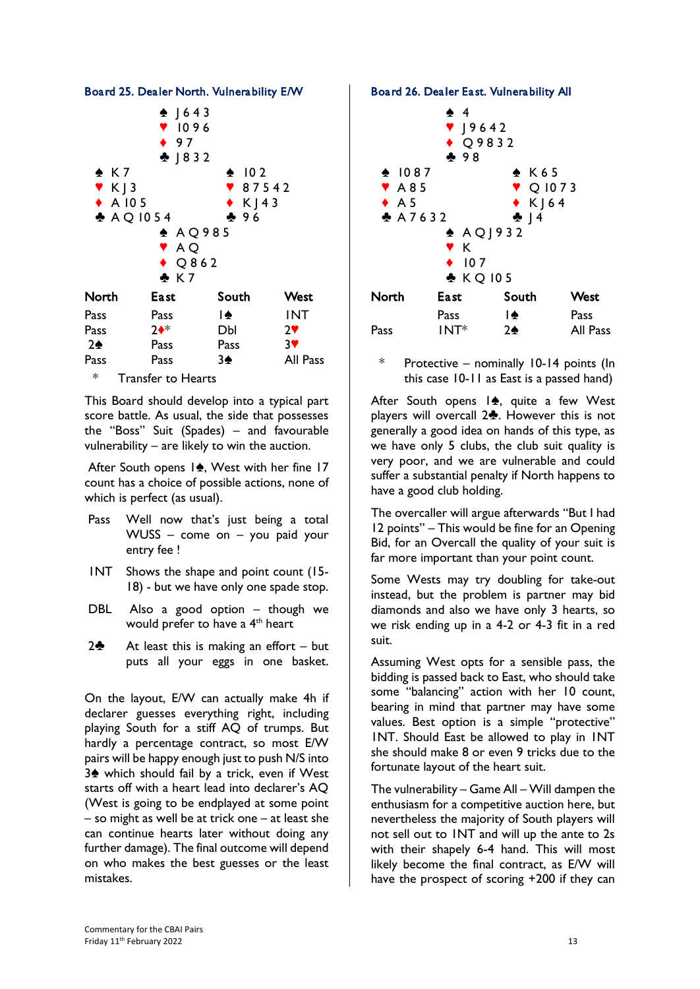

Board 25. Dealer North. Vulnerability E/W

\* Transfer to Hearts

This Board should develop into a typical part score battle. As usual, the side that possesses the "Boss" Suit (Spades) – and favourable vulnerability – are likely to win the auction.

After South opens  $1\spadesuit$ , West with her fine 17 count has a choice of possible actions, none of which is perfect (as usual).

- Pass Well now that's just being a total WUSS – come on – you paid your entry fee !
- 1NT Shows the shape and point count (15- 18) - but we have only one spade stop.
- DBL Also a good option though we would prefer to have a 4<sup>th</sup> heart
- 2 $\clubsuit$  At least this is making an effort but puts all your eggs in one basket.

On the layout, E/W can actually make 4h if declarer guesses everything right, including playing South for a stiff AQ of trumps. But hardly a percentage contract, so most E/W pairs will be happy enough just to push N/S into  $3\spadesuit$  which should fail by a trick, even if West starts off with a heart lead into declarer's AQ (West is going to be endplayed at some point – so might as well be at trick one – at least she can continue hearts later without doing any further damage). The final outcome will depend on who makes the best guesses or the least mistakes.

Board 26. Dealer East. Vulnerability All



\* Protective – nominally 10-14 points (In this case 10-11 as East is a passed hand)

After South opens  $|\spadesuit$ , quite a few West players will overcall  $2\clubsuit$ . However this is not generally a good idea on hands of this type, as we have only 5 clubs, the club suit quality is very poor, and we are vulnerable and could suffer a substantial penalty if North happens to have a good club holding.

The overcaller will argue afterwards "But I had 12 points" – This would be fine for an Opening Bid, for an Overcall the quality of your suit is far more important than your point count.

Some Wests may try doubling for take-out instead, but the problem is partner may bid diamonds and also we have only 3 hearts, so we risk ending up in a 4-2 or 4-3 fit in a red suit.

Assuming West opts for a sensible pass, the bidding is passed back to East, who should take some "balancing" action with her 10 count, bearing in mind that partner may have some values. Best option is a simple "protective" 1NT. Should East be allowed to play in 1NT she should make 8 or even 9 tricks due to the fortunate layout of the heart suit.

The vulnerability – Game All – Will dampen the enthusiasm for a competitive auction here, but nevertheless the majority of South players will not sell out to 1NT and will up the ante to 2s with their shapely 6-4 hand. This will most likely become the final contract, as E/W will have the prospect of scoring +200 if they can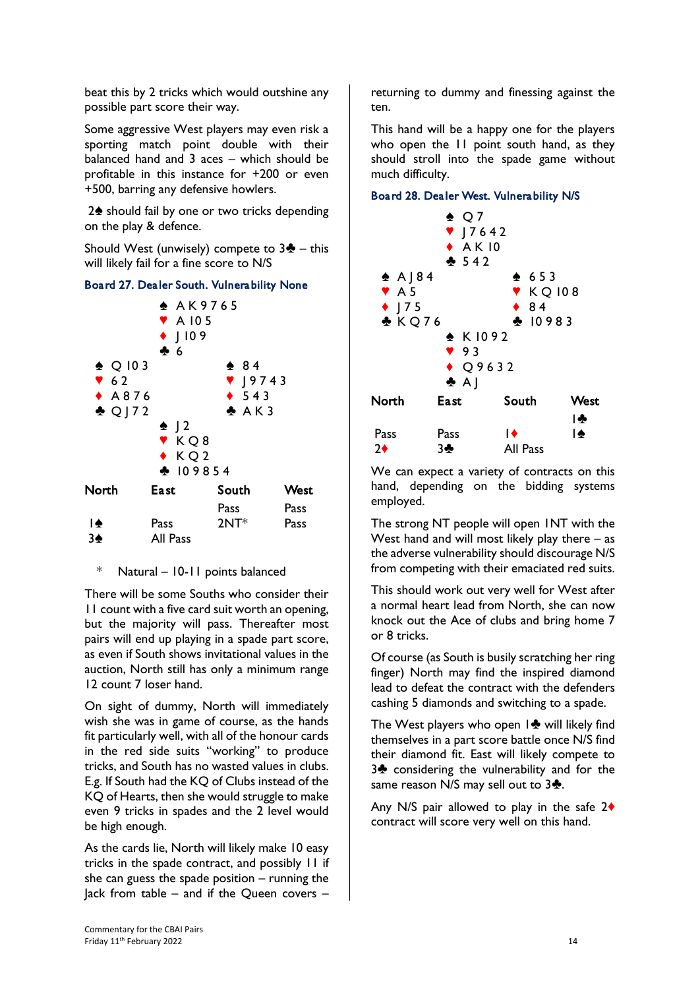beat this by 2 tricks which would outshine any possible part score their way.

Some aggressive West players may even risk a sporting match point double with their balanced hand and 3 aces – which should be profitable in this instance for +200 or even +500, barring any defensive howlers.

2<sup>h</sup> should fail by one or two tricks depending on the play & defence.

Should West (unwisely) compete to  $3\clubsuit$  – this will likely fail for a fine score to N/S

#### Board 27. Dealer South. Vulnerability None



\* Natural – 10-11 points balanced

There will be some Souths who consider their 11 count with a five card suit worth an opening, but the majority will pass. Thereafter most pairs will end up playing in a spade part score, as even if South shows invitational values in the auction, North still has only a minimum range 12 count 7 loser hand.

On sight of dummy, North will immediately wish she was in game of course, as the hands fit particularly well, with all of the honour cards in the red side suits "working" to produce tricks, and South has no wasted values in clubs. E.g. If South had the KQ of Clubs instead of the KQ of Hearts, then she would struggle to make even 9 tricks in spades and the 2 level would be high enough.

As the cards lie, North will likely make 10 easy tricks in the spade contract, and possibly 11 if she can guess the spade position  $-$  running the Jack from table – and if the Queen covers –

returning to dummy and finessing against the ten.

This hand will be a happy one for the players who open the 11 point south hand, as they should stroll into the spade game without much difficulty.

#### Board 28. Dealer West. Vulnerability N/S



We can expect a variety of contracts on this hand, depending on the bidding systems employed.

The strong NT people will open 1NT with the West hand and will most likely play there  $-$  as the adverse vulnerability should discourage N/S from competing with their emaciated red suits.

This should work out very well for West after a normal heart lead from North, she can now knock out the Ace of clubs and bring home 7 or 8 tricks.

Of course (as South is busily scratching her ring finger) North may find the inspired diamond lead to defeat the contract with the defenders cashing 5 diamonds and switching to a spade.

The West players who open  $1\blacklozenge$  will likely find themselves in a part score battle once N/S find their diamond fit. East will likely compete to 3<sup>2</sup> considering the vulnerability and for the same reason N/S may sell out to  $3\clubsuit$ .

Any N/S pair allowed to play in the safe  $2\blacklozenge$ contract will score very well on this hand.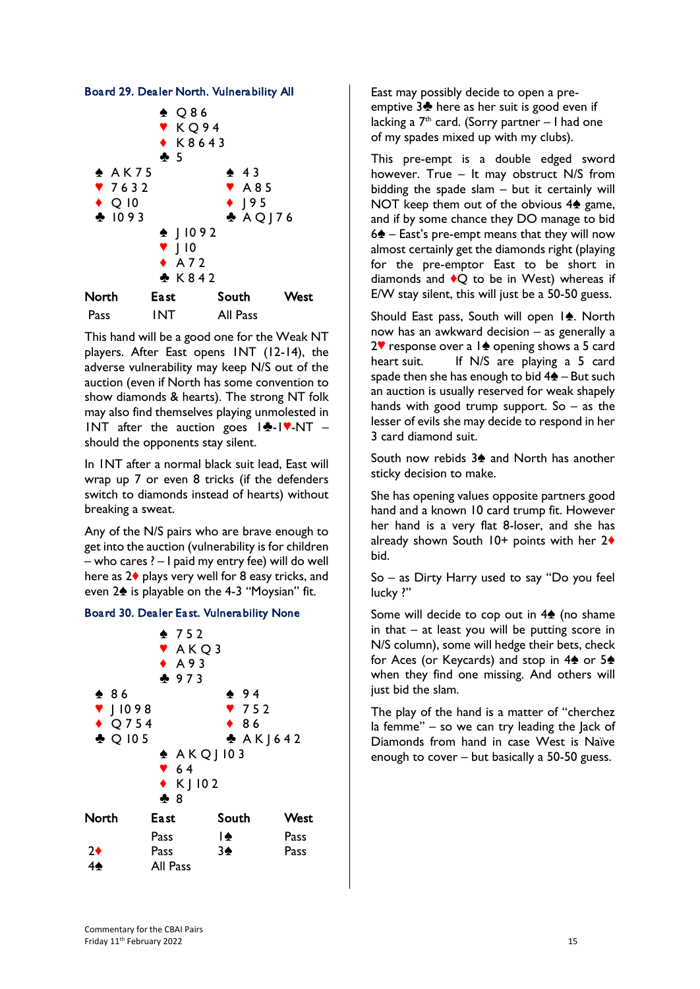



This hand will be a good one for the Weak NT players. After East opens 1NT (12-14), the adverse vulnerability may keep N/S out of the auction (even if North has some convention to show diamonds & hearts). The strong NT folk may also find themselves playing unmolested in INT after the auction goes  $|\cdot|$ - $|\cdot|$ -NT – should the opponents stay silent.

In 1NT after a normal black suit lead, East will wrap up 7 or even 8 tricks (if the defenders switch to diamonds instead of hearts) without breaking a sweat.

Any of the N/S pairs who are brave enough to get into the auction (vulnerability is for children – who cares ? – I paid my entry fee) will do well here as  $2\blacklozenge$  plays very well for 8 easy tricks, and even  $2\spadesuit$  is playable on the 4-3 "Moysian" fit.





East may possibly decide to open a preemptive  $3\clubsuit$  here as her suit is good even if lacking a  $7<sup>th</sup>$  card. (Sorry partner – I had one of my spades mixed up with my clubs).

This pre-empt is a double edged sword however. True – It may obstruct N/S from bidding the spade slam – but it certainly will NOT keep them out of the obvious  $4\spadesuit$  game, and if by some chance they DO manage to bid  $6\spadesuit$  – East's pre-empt means that they will now almost certainly get the diamonds right (playing for the pre-emptor East to be short in diamonds and  $\bigcirc$  to be in West) whereas if E/W stay silent, this will just be a 50-50 guess.

Should East pass, South will open  $1\spadesuit$ . North now has an awkward decision – as generally a 2 $\blacktriangledown$  response over a 1 $\blacktriangle$  opening shows a 5 card heart suit. If N/S are playing a 5 card spade then she has enough to bid  $4\spadesuit$  – But such an auction is usually reserved for weak shapely hands with good trump support. So  $-$  as the lesser of evils she may decide to respond in her 3 card diamond suit.

South now rebids 3<sup>2</sup> and North has another sticky decision to make.

She has opening values opposite partners good hand and a known 10 card trump fit. However her hand is a very flat 8-loser, and she has already shown South  $10+$  points with her  $2\blacklozenge$ bid.

So – as Dirty Harry used to say "Do you feel lucky ?"

Some will decide to cop out in  $4\spadesuit$  (no shame in that – at least you will be putting score in N/S column), some will hedge their bets, check for Aces (or Keycards) and stop in  $4\spadesuit$  or  $5\spadesuit$ when they find one missing. And others will just bid the slam.

The play of the hand is a matter of "cherchez la femme" – so we can try leading the Jack of Diamonds from hand in case West is Naïve enough to cover – but basically a 50-50 guess.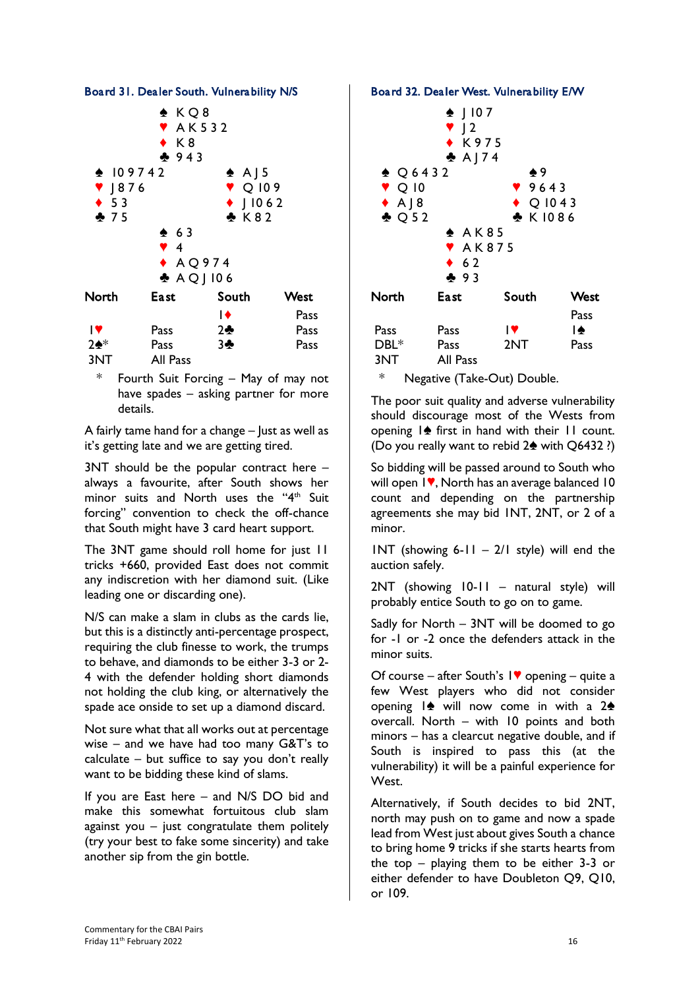

Board 31. Dealer South. Vulnerability N/S

| <b>Pass</b> | 2  | Pass |
|-------------|----|------|
| Pass        | 34 | Pass |
| All Pass    |    |      |
|             |    |      |

\* Fourth Suit Forcing – May of may not have spades – asking partner for more details.

A fairly tame hand for a change  $-$  lust as well as it's getting late and we are getting tired.

3NT should be the popular contract here – always a favourite, after South shows her minor suits and North uses the "4<sup>th</sup> Suit forcing" convention to check the off-chance that South might have 3 card heart support.

The 3NT game should roll home for just 11 tricks +660, provided East does not commit any indiscretion with her diamond suit. (Like leading one or discarding one).

N/S can make a slam in clubs as the cards lie, but this is a distinctly anti-percentage prospect, requiring the club finesse to work, the trumps to behave, and diamonds to be either 3-3 or 2- 4 with the defender holding short diamonds not holding the club king, or alternatively the spade ace onside to set up a diamond discard.

Not sure what that all works out at percentage wise – and we have had too many G&T's to calculate – but suffice to say you don't really want to be bidding these kind of slams.

If you are East here – and N/S DO bid and make this somewhat fortuitous club slam against you  $-$  just congratulate them politely (try your best to fake some sincerity) and take another sip from the gin bottle.

#### Board 32. Dealer West. Vulnerability E/W



The poor suit quality and adverse vulnerability should discourage most of the Wests from opening  $\mathbf{I} \triangleq \mathbf{f}$  first in hand with their  $\mathbf{I}$  count. (Do you really want to rebid  $2\spadesuit$  with Q6432 ?)

So bidding will be passed around to South who will open  $1$ , North has an average balanced  $10$ count and depending on the partnership agreements she may bid 1NT, 2NT, or 2 of a minor.

 $INT$  (showing 6-11 – 2/1 style) will end the auction safely.

2NT (showing 10-11 – natural style) will probably entice South to go on to game.

Sadly for North – 3NT will be doomed to go for -1 or -2 once the defenders attack in the minor suits.

Of course – after South's  $\mathbf{I}$   $\bullet$  opening – quite a few West players who did not consider opening  $|\spadesuit\spadesuit\spadesuit\sf will$  now come in with a  $2\spadesuit\spadesuit\sf$ overcall. North – with 10 points and both minors – has a clearcut negative double, and if South is inspired to pass this (at the vulnerability) it will be a painful experience for West.

Alternatively, if South decides to bid 2NT, north may push on to game and now a spade lead from West just about gives South a chance to bring home 9 tricks if she starts hearts from the top – playing them to be either 3-3 or either defender to have Doubleton Q9, Q10, or 109.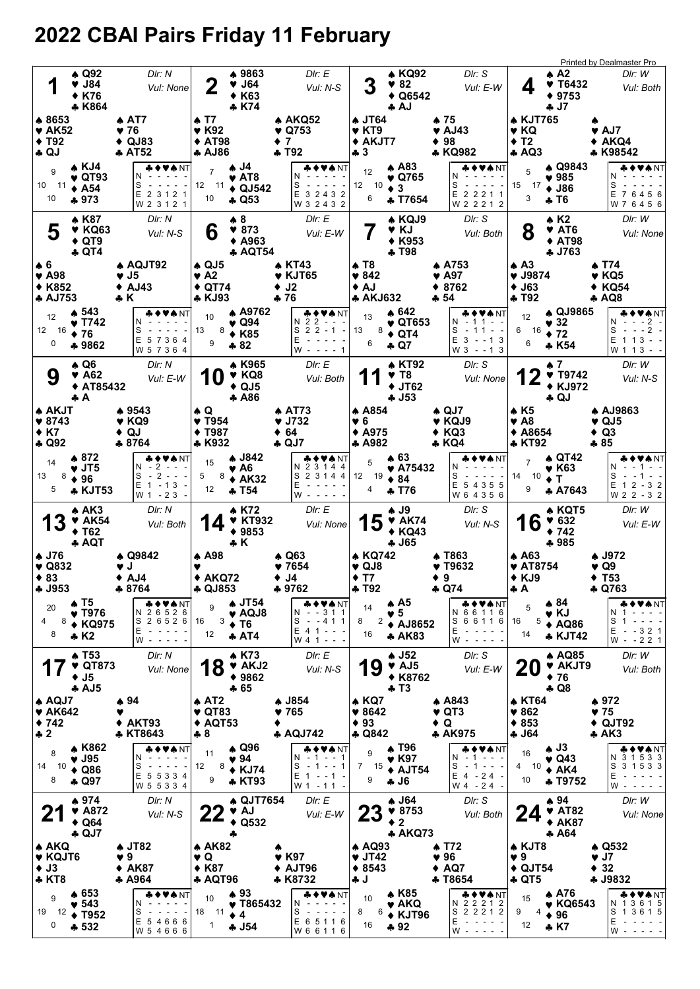# 2022 CBAI Pairs Friday 11 February

| 1                                                                            |     | ▲ Q92<br>$\blacktriangledown$ J84<br><b>◆ K76</b><br>♣ K864               |                                                            | DIr: N<br>Vul: None                                                                                                                         | 2                                                                               |                             | ♦ 9863<br>$\blacktriangledown$ J64<br><b>◆ K63</b><br>* K74           |                                                  | Dir: E<br>Vul: N-S                                                                       | 3                                                                    |                 | <b>A KQ92</b><br>♥ 82<br>$\triangle$ Q6542<br>♣ AJ                          |             | DIr: S<br>Vul: E-W                                                                                                                                                                             | 4                                                                 | $A^2$<br>V T6432<br>$*9753$<br>♣ J7                                        | <b>Printed by Dealmaster Pro</b><br>DIr: W<br>Vul: Both                                                    |
|------------------------------------------------------------------------------|-----|---------------------------------------------------------------------------|------------------------------------------------------------|---------------------------------------------------------------------------------------------------------------------------------------------|---------------------------------------------------------------------------------|-----------------------------|-----------------------------------------------------------------------|--------------------------------------------------|------------------------------------------------------------------------------------------|----------------------------------------------------------------------|-----------------|-----------------------------------------------------------------------------|-------------|------------------------------------------------------------------------------------------------------------------------------------------------------------------------------------------------|-------------------------------------------------------------------|----------------------------------------------------------------------------|------------------------------------------------------------------------------------------------------------|
| ♣ 8653<br>$\blacktriangledown$ AK52<br>$\blacklozenge$ T92<br>$\clubsuit$ QJ |     |                                                                           | $\triangle$ AT7<br>♥ 76<br>$\triangle$ QJ83<br><b>AT52</b> |                                                                                                                                             | ▲ T7<br>$\blacktriangledown$ K92<br><b>◆ AT98</b><br>♣ AJ86                     |                             |                                                                       | ♥ Q753<br>$+7$<br>$+T92$                         | ♠ AKQ52                                                                                  | <b>4 JT64</b><br>♥ KT9<br>♣ 3                                        | ◆ AKJT7         |                                                                             |             | ♦ 75<br>$\blacktriangledown$ AJ43<br>$* 98$<br>* KQ982                                                                                                                                         | <b>A KJT765</b><br>♥ KQ<br>$+T2$<br>A Q3                          |                                                                            | $\blacktriangledown$ AJ7<br>$\triangle$ AKQ4<br>* K98542                                                   |
| 9<br>10 11<br>10                                                             |     | $\triangle$ KJ4<br>$\blacktriangledown$ QT93<br>$\triangle$ A54<br>$+973$ | N<br>S                                                     | OVANT<br>E 2 3 1 2 1<br>W 2 3 1 2 1                                                                                                         | $\overline{7}$<br>12<br>10                                                      | $-11$                       | 4 J4.<br>$\blacktriangledown$ AT8<br>$\triangle$ QJ542<br>$A$ Q53     |                                                  | ♣♦♥♠ NT<br>N<br>S<br>E 3 2 4 3 2<br>W 3 2 4 3 2                                          | 12<br>12 10<br>6                                                     |                 | $A$ A83<br>♥ Q765<br>$\bullet$ 3<br><b>+ T7654</b>                          |             | ♣♦♥♠ NT<br>N<br>S<br>$\blacksquare$<br>$\frac{1}{2} \left( \frac{1}{2} \right) \left( \frac{1}{2} \right) \left( \frac{1}{2} \right) \left( \frac{1}{2} \right)$<br>E 2 2 2 1 1<br>W 2 2 2 1 2 | 5<br>15<br>3                                                      | A Q9843<br>$\blacktriangledown$ 985<br>$17 \div 186$<br>* T6               | VANT<br>N<br>S<br>E 7 6 4 5 6<br>W 7 6 4 5 6                                                               |
| 5<br>$\clubsuit$ 6                                                           |     | A K87<br>$\blacktriangledown$ KQ63<br>$\triangle$ QT9<br>$\clubsuit$ QT4  | ♦ AQJT92                                                   | DIr: N<br>Vul: N-S                                                                                                                          | 6                                                                               |                             | $\clubsuit$ 8<br>$*873$<br>$\triangle$ A963<br>♣ AQT54                |                                                  | Dir: E<br>Vul: E-W                                                                       | $\clubsuit$ T <sub>8</sub>                                           |                 | * KQJ9<br>V KJ<br><b>◆ K953</b><br>♣ T98                                    |             | Dir: S<br>Vul: Both                                                                                                                                                                            | 8<br>$\triangle$ A <sub>3</sub>                                   | $\triangle$ K <sub>2</sub><br>♥ AT6<br><b>◆ AT98</b><br><b>4 J763</b>      | DIr: W<br>Vul: None                                                                                        |
| $\blacktriangledown$ A98<br><b>◆ K852</b><br><b>A AJ753</b>                  |     | $\clubsuit$ 543                                                           | $\blacktriangledown$ J5<br>♦ AJ43<br>÷ K                   |                                                                                                                                             | $\clubsuit$ QJ5<br>$\blacktriangledown$ A2<br>$\triangle$ QT74<br><b>* KJ93</b> |                             | A A9762                                                               | J <sub>2</sub><br>$+76$                          | ♠ KT43<br>$\blacktriangledown$ KJT65                                                     | ♥ 842<br>♦ AJ                                                        | <b>* AKJ632</b> | $\triangle$ 642                                                             |             | $\bullet$ A753<br>$\blacktriangledown$ A97<br>8762<br>♣ 54                                                                                                                                     | $\blacktriangledown$ J9874<br>$\blacklozenge$ J63<br><b>+ T92</b> |                                                                            | ♠ T74<br>$\blacktriangledown$ KQ5<br>$\triangle$ KQ54<br>$\clubsuit$ AQ8                                   |
| 12<br>12 16<br>$\mathbf 0$                                                   |     | $\blacktriangledown$ T742<br>$\div 76$<br>♣ 9862                          | S                                                          | E 57364<br>W 5 7 3 6 4                                                                                                                      | 10<br>13<br>9                                                                   | 8                           | $\blacktriangledown$ Q94<br>$\triangle$ K85<br>$*82$                  |                                                  | ♦VANT<br>N 2 2 - - -<br>$S$ 2 2 - 1 -<br>E<br>W - - - - 1                                | 13<br>13<br>6                                                        | 8               | $\blacktriangledown$ QT653<br>$\triangle$ QT4<br>$\clubsuit$ Q7             |             | ۱NT<br>N - 11 - -<br>S<br>$-11 - -1$<br>E<br>$3 - 13$<br>$W3 - 13$                                                                                                                             | 12<br>$6 \t16 \t\bigdiv 72$<br>6                                  | <b>4 QJ9865</b><br>$\blacktriangledown$ 32<br>* K54                        | VANT<br>$- -2$ -<br>S<br>$- - 2 -$<br>$\overline{\phantom{a}}$<br>E 1 1 3<br>$\sim$ $ \sim$<br>W 1 1 3 - - |
| 9                                                                            | ÷ A | ▲ Q6<br>$\blacktriangledown$ A62<br>◆ AT85432                             |                                                            | DIr: N<br>Vul: E-W                                                                                                                          | 10                                                                              |                             | ▲ K965<br>$\blacktriangledown$ KQ8<br>$\triangle$ QJ5<br><b>A</b> A86 |                                                  | Dir: E<br>Vul: Both                                                                      |                                                                      |                 | <b>A KT92</b><br>$\blacktriangledown$ T <sub>8</sub><br>$+$ JT62<br>$+ J53$ |             | DIr: S<br>Vul: None                                                                                                                                                                            |                                                                   | ₩7.<br>$\Psi$ T9742<br><b>◆ KJ972</b><br>$\clubsuit$ QJ                    | DIr: W<br>Vul: N-S                                                                                         |
| <b>A AKJT</b><br>$*8743$<br>$*K7$<br>$\clubsuit$ Q92                         |     |                                                                           | ♣ 9543<br>♥ KQ9<br>$\bullet$ QJ<br>♣ 8764                  |                                                                                                                                             | $\clubsuit$ Q<br>♥ T954<br><b>◆ T987</b><br><b>* K932</b>                       |                             |                                                                       | ♠ AT73<br>♥ J732<br>$\div$ 64<br>$\clubsuit$ QJ7 |                                                                                          | <b>A</b> A854<br>♥ 6<br>$\triangle$ A975<br>$A$ A982                 |                 |                                                                             |             | $\triangle$ QJ7<br>♥ KQJ9<br>$\triangle$ KQ3<br>♣ KQ4                                                                                                                                          | A K5<br>♥ A8<br><b>◆ A8654</b><br>♣ KT92                          |                                                                            | <b>A AJ9863</b><br>$\vee$ QJ5<br>$\triangleleft$ Q3<br>♣ 85                                                |
| 14<br>13<br>8<br>5                                                           |     | ▲ 872<br>$\blacktriangledown$ JT5<br>$\div$ 96<br><b>* KJT53</b>          | S                                                          | ◆♥♠NT<br>2<br>$\frac{1}{2} \left( \frac{1}{2} \right) \left( \frac{1}{2} \right) \left( \frac{1}{2} \right)$<br>$E$ 1 - 13 -<br>W 1 - 2 3 - | 15<br>5<br>12                                                                   | 8                           | ▲ J842<br>♥ A6<br>$+ AK32$<br>÷ T54                                   |                                                  | ♦♥★NT<br>N 2<br>3 1 4 4<br>S 2 3 1 4 4<br>E<br>W                                         | 5<br>12 19<br>4                                                      |                 | ▲ 63<br>♥ A75432<br>$\bullet$ 84<br>+ T76                                   |             | <b>AVANT</b><br>S<br>E 5 4 3 5 5<br>W 6 4 3 5 6                                                                                                                                                | $\overline{7}$<br>14<br>10<br>9                                   | ▲ QT42<br>♥ К63<br>$\bullet$ T<br>* A7643                                  | VANT<br>S<br>E 1 2 - 3 2<br>W 2 2 - 3 2                                                                    |
| 13                                                                           |     | $*AK3$<br>$\blacktriangledown$ AK54<br>$\blacklozenge$ T62<br>+ AQT       |                                                            | DIr: N<br>Vul: Both                                                                                                                         |                                                                                 |                             | ♠ K72<br><b>* KT932</b><br>$*9853$<br>♣ K                             |                                                  | Dir: E<br>Vul: None                                                                      |                                                                      | 15              | A J9<br>$\blacktriangledown$ AK74<br>◆ KQ43<br><b>4 J65</b>                 |             | Dir: S<br>Vul: N-S                                                                                                                                                                             | 16                                                                | * KQT5<br>$* 632$<br>$+ 742$<br>$+985$                                     | DIr: W<br>Vul: E-W                                                                                         |
| <b>A J76</b><br>$\blacktriangledown$ Q832<br>$\triangle$ 83<br><b>4 J953</b> |     |                                                                           | ♠ Q9842<br>v J<br>$\triangle$ AJ4<br>—≯ ৪/64               |                                                                                                                                             | $\spadesuit$ A98                                                                | $* AKQ72$<br><b>* UJ853</b> |                                                                       | $\clubsuit$ Q63<br>$*7654$<br>♦ J4<br>♣ 9762     |                                                                                          | $\blacktriangledown$ QJ8<br>$+T7$<br><b>4 T92</b>                    | ♠ KQ742         |                                                                             | $\bullet$ 9 | A T863<br>♥ T9632<br>$\clubsuit$ Q74                                                                                                                                                           | $\clubsuit$ A63<br><b>V</b> AT8754<br>$\triangle$ KJ9<br>ФA       |                                                                            | ♣ J972<br>♥ Q9<br>$\blacklozenge$ T53<br><b>4 Q763</b>                                                     |
| 20<br>8<br>4<br>8                                                            |     | ▲ T5<br>$\blacktriangledown$ T976<br>◆ KQ975<br>$\bullet$ K <sub>2</sub>  | E                                                          | ◆♥♠NT<br>N 2 6 5 2 6<br>S 2 6 5 2 6<br>$W - - - -$                                                                                          | 9<br>16<br>12                                                                   | 3                           | <b>4 JT54</b><br>$\blacktriangledown$ AQJ8<br>$\div$ T6<br>$+ AT4$    |                                                  | ♣♦♥♠NT<br>N - -311<br>S<br>--411<br>$E$ 4 1 - - -<br>$W 4 1 - -$                         | 14<br>8<br>16                                                        | 2               | ♠ А5<br>♥ 5<br><b>◆ AJ8652</b><br><b>4 AK83</b>                             |             | ♣♦♥♠NT<br>N 6 6 1 1 6<br>S<br>6 6 1 1 6<br>Е<br>w - - - - -                                                                                                                                    | 5<br>16<br>14                                                     | $* 84$<br>v KJ<br>$5 \div AQ86$<br><b>* KJT42</b>                          | VANT<br>N<br>S<br>Е<br>$-321$<br>$W - 221$                                                                 |
|                                                                              |     | <b>4 T53</b><br>$\blacktriangledown$ QT873<br>$\blacklozenge$ J5<br>AJ5   |                                                            | Dir: N<br>Vul: None                                                                                                                         |                                                                                 | 18                          | <b>AK73</b><br>$\blacktriangledown$ AKJ2<br>$*9862$<br>$+65$          |                                                  | Dir: E<br>Vul: N-S                                                                       |                                                                      | 19              | $\clubsuit$ J52<br>$\blacktriangledown$ AJ5<br>◆ K8762<br>$+T3$             |             | DIr: S<br>Vul: E-W                                                                                                                                                                             | <b>20</b>                                                         | <b>A AQ85</b><br><b>V AKJT9</b><br>$\div$ 76<br>$\clubsuit$ Q8             | DIr: W<br>Vul: Both                                                                                        |
| $\spadesuit$ AQJ7<br>$\blacktriangledown$ AK642<br>$*742$<br>$\clubsuit$ 2   |     |                                                                           | ♠ 94<br>v<br>AKT93<br>* KT8643                             |                                                                                                                                             | $\triangle$ AT2<br>$\blacktriangledown$ QT83<br>$+8$                            | $\triangle$ AQT53           |                                                                       | ♠ J854<br>♥ 765                                  | <b>4 AQJ742</b>                                                                          | $\triangle$ KQ7<br>$*8642$<br>$\blacklozenge$ 93<br>$\clubsuit$ Q842 |                 |                                                                             | $\bullet$ Q | ♠ A843<br>$\blacktriangledown$ QT3<br>♣ AK975                                                                                                                                                  | <b>* KT64</b><br>$\blacktriangledown 862$<br>$*853$<br>$-164$     |                                                                            | ♠ 972<br>$\blacktriangledown$ 75<br>$\triangle$ QJT92<br><b>* AK3</b>                                      |
| 8<br>10<br>14<br>8                                                           |     | <b>AK862</b><br>$\blacktriangledown$ J95<br>$\triangle$ Q86<br>♣ Q97      | N<br>S                                                     | ◆♥♠NT<br>$\sim$<br>E 5 5 3 3 4<br>W 5 5 3 3 4                                                                                               | 11<br>12<br>9                                                                   | 8                           | ♦ Q96<br>♥ 94<br>$\triangle$ KJ74<br>* KT93                           |                                                  | ♣♦♥♠NT<br>- 1<br>N<br>--1<br>$1 - - 1$<br>s<br>$\sim$<br>E 1<br>$- - 1 -$<br>W 1 - 1 1 - | 9<br>7<br>9                                                          | 15              | <b>A T96</b><br>♥ K97<br>$\triangle$ AJT54<br><b>4 J6</b>                   |             | & ♦ ♥★ NT<br>- 1<br>N<br>S<br>-1---<br>$E_4 - 24$<br>W 4 - 24 -                                                                                                                                | 16<br>10<br>4<br>10                                               | $\clubsuit$ J3<br>♥ Q43<br>$\triangle$ AK4<br>*T9752                       | VANT<br>N 3 1 5 3 3<br>S<br>3 1 5 3 3<br>E<br>W                                                            |
| 2                                                                            |     | $*974$<br>$\blacktriangledown$ A872<br>$\triangle$ Q64<br>$\clubsuit$ QJ7 |                                                            | DIr: N<br>Vul: N-S                                                                                                                          | <u>Z Z</u>                                                                      | 4                           | <b>4 QJT7654</b><br>♥ AJ<br>$\triangle$ Q532                          |                                                  | DIr: E<br>Vul: E-W                                                                       | <b>23</b>                                                            |                 | $\clubsuit$ J64<br>$*8753$<br>$\bullet$ 2<br><b>* AKQ73</b>                 |             | Dir: S<br>Vul: Both                                                                                                                                                                            | 24                                                                | $*94$<br><b>V</b> AT82<br>◆ AK87<br>$+ A64$                                | DIr: W<br>Vul: None                                                                                        |
| ♠ AKQ<br>♥ KQJT6<br>$\blacklozenge$ J3<br>$\clubsuit$ KT8                    |     |                                                                           | <b>A JT82</b><br>♥ 9<br>◆ AK87<br>* A964                   |                                                                                                                                             | $* AK82$<br>♥ Q<br>$\triangle$ K87                                              | <b>A AQT96</b>              |                                                                       | ♥ K97                                            | AJT96<br>* K8732                                                                         | <b>A AQ93</b><br>$\blacktriangledown$ JT42<br>$*8543$<br>♣J          |                 |                                                                             |             | <b>A T72</b><br>96<br>$\triangle$ AQ7<br>♣ T8654                                                                                                                                               | ♠ KJT8<br>♥9<br>$\triangle$ QJT54<br>♣ QT5                        |                                                                            | ♦ Q532<br>♥ J7<br>$\div$ 32<br><b>4 J9832</b>                                                              |
| 9<br>19<br>12<br>$\mathbf 0$                                                 |     | $\clubsuit$ 653<br>$\blacktriangledown 543$<br>$\div$ T952<br>$-532$      | N<br>S                                                     | VA NT<br>E 54666<br>W 5 4 6 6 6                                                                                                             | 10<br>18<br>$\mathbf{1}$                                                        | 11                          | $*93$<br>♥ T865432<br>$\bullet$ 4<br>$-154$                           |                                                  | ♣♦♥♠ NT<br>N<br>S<br>E 6 5 1 1 6<br>W 6 6 1 1 6                                          | 10<br>8<br>16                                                        | 6               | A K85<br><b>v</b> AKQ<br>$\triangle$ KJT96<br>$+92$                         |             | ♣♦♥♠ℕ⊺<br>N 2 2 2 1 2<br>2 2 2 1 2<br>S<br>Е<br>$\omega$ , $\omega$ , $\omega$ , $\omega$<br>$\overline{\phantom{a}}$<br>w -                                                                   | 15<br>9<br>4<br>12                                                | $\spadesuit$ A76<br>$\blacktriangleright$ KQ6543<br>$\triangle$ 96<br>* K7 | ♣♦♥♠NT<br>N 1 3 6 1 5<br>S 1 3 6 1 5<br>E<br>$\overline{\phantom{a}}$<br>W                                 |